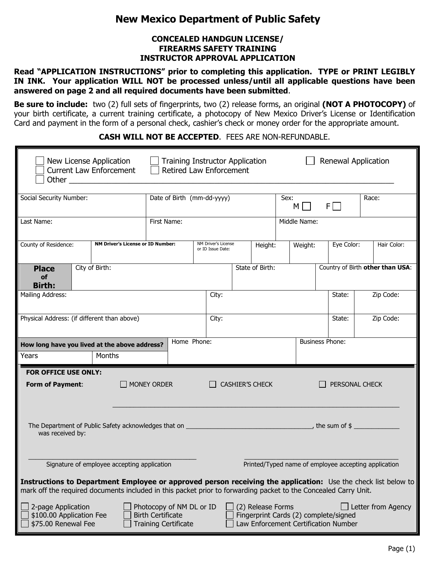# New Mexico Department of Public Safety

## CONCEALED HANDGUN LICENSE/ FIREARMS SAFETY TRAINING INSTRUCTOR APPROVAL APPLICATION

Read "APPLICATION INSTRUCTIONS" prior to completing this application. TYPE or PRINT LEGIBLY IN INK. Your application WILL NOT be processed unless/until all applicable questions have been answered on page 2 and all required documents have been submitted.

Be sure to include: two (2) full sets of fingerprints, two (2) release forms, an original (NOT A PHOTOCOPY) of your birth certificate, a current training certificate, a photocopy of New Mexico Driver's License or Identification Card and payment in the form of a personal check, cashier's check or money order for the appropriate amount.

## CASH WILL NOT BE ACCEPTED. FEES ARE NON-REFUNDABLE.

|                                                                                                                 | New License Application                  | <b>Current Law Enforcement</b> |                                                                                     | <b>Training Instructor Application</b><br>Retired Law Enforcement |                        |                             |                                  |                                                                               | Renewal Application                                                                                           |  |
|-----------------------------------------------------------------------------------------------------------------|------------------------------------------|--------------------------------|-------------------------------------------------------------------------------------|-------------------------------------------------------------------|------------------------|-----------------------------|----------------------------------|-------------------------------------------------------------------------------|---------------------------------------------------------------------------------------------------------------|--|
| Social Security Number:                                                                                         |                                          |                                | Date of Birth (mm-dd-yyyy)                                                          |                                                                   |                        | Sex:<br>$F\Box$<br>$M \mid$ |                                  | Race:                                                                         |                                                                                                               |  |
| Last Name:                                                                                                      |                                          |                                | First Name:                                                                         |                                                                   |                        |                             | Middle Name:                     |                                                                               |                                                                                                               |  |
| County of Residence:                                                                                            | <b>NM Driver's License or ID Number:</b> |                                | NM Driver's License<br>or ID Issue Date:                                            |                                                                   |                        | Weight:<br>Height:          |                                  | Eye Color:                                                                    | Hair Color:                                                                                                   |  |
| <b>Place</b><br>of<br><b>Birth:</b>                                                                             | City of Birth:                           |                                |                                                                                     |                                                                   |                        | State of Birth:             | Country of Birth other than USA: |                                                                               |                                                                                                               |  |
| Mailing Address:                                                                                                |                                          |                                |                                                                                     | City:                                                             |                        |                             |                                  | State:                                                                        | Zip Code:                                                                                                     |  |
| Physical Address: (if different than above)                                                                     |                                          |                                |                                                                                     | City:                                                             |                        |                             |                                  | State:                                                                        | Zip Code:                                                                                                     |  |
| How long have you lived at the above address?                                                                   |                                          |                                | Home Phone:                                                                         |                                                                   |                        |                             |                                  | <b>Business Phone:</b>                                                        |                                                                                                               |  |
| Years                                                                                                           |                                          | Months                         |                                                                                     |                                                                   |                        |                             |                                  |                                                                               |                                                                                                               |  |
| <b>FOR OFFICE USE ONLY:</b><br>Form of Payment:                                                                 |                                          | $\Box$ MONEY ORDER             |                                                                                     |                                                                   | <b>CASHIER'S CHECK</b> |                             |                                  |                                                                               | PERSONAL CHECK                                                                                                |  |
| was received by:                                                                                                |                                          |                                |                                                                                     |                                                                   |                        |                             |                                  |                                                                               |                                                                                                               |  |
| Signature of employee accepting application<br>Printed/Typed name of employee accepting application             |                                          |                                |                                                                                     |                                                                   |                        |                             |                                  |                                                                               |                                                                                                               |  |
| mark off the required documents included in this packet prior to forwarding packet to the Concealed Carry Unit. |                                          |                                |                                                                                     |                                                                   |                        |                             |                                  |                                                                               | Instructions to Department Employee or approved person receiving the application: Use the check list below to |  |
| 2-page Application<br>\$100.00 Application Fee<br>\$75.00 Renewal Fee                                           |                                          |                                | Photocopy of NM DL or ID<br><b>Birth Certificate</b><br><b>Training Certificate</b> |                                                                   |                        | (2) Release Forms           |                                  | Fingerprint Cards (2) complete/signed<br>Law Enforcement Certification Number | Letter from Agency                                                                                            |  |